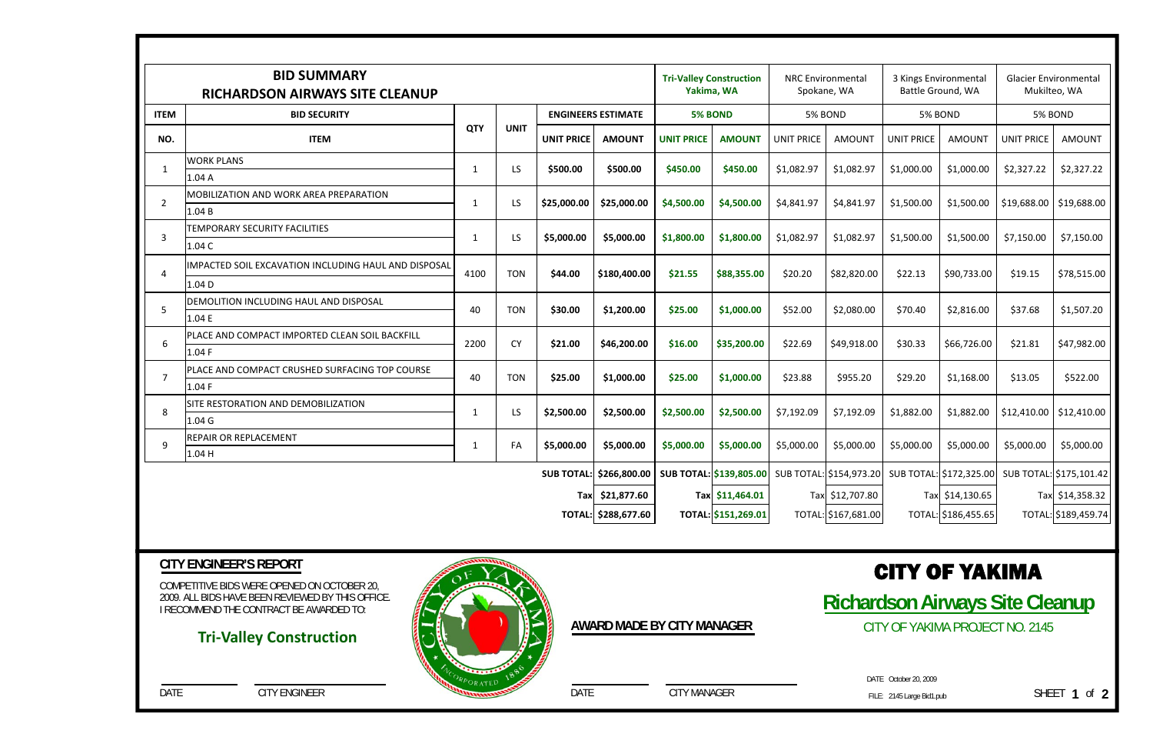COMPETITIVE BIDS WERE OPENED ON OCTOBER 20, 2009. ALL BIDS HAVE BEEN REVIEWED BY THIS OFFICE. I RECOMMEND THE CONTRACT BE AWARDED TO:

DATE CITY ENGINEER

## **CITY ENGINEER'S REPORT**

DATE CITY MANAGER

**AWARD MADE BY CITY MANAGER**

## CITY OF YAKIMA

**Richardson Airways Site Cleanup**  CITY OF YAKIMA PROJECT NO. 2145

> FILE: DATE October 20, 2009

## **Tri‐Valley Construction**



|                         | <b>BID SUMMARY</b><br><b>RICHARDSON AIRWAYS SITE CLEANUP</b> | <b>Tri-Valley Construction</b><br>Yakima, WA |             | <b>NRC Environmental</b><br>Spokane, WA |               | 3 Kings Environmental<br>Battle Ground, WA |                                                                                                        | <b>Glacier Environmental</b><br>Mukilteo, WA |                     |                   |                     |                   |                     |
|-------------------------|--------------------------------------------------------------|----------------------------------------------|-------------|-----------------------------------------|---------------|--------------------------------------------|--------------------------------------------------------------------------------------------------------|----------------------------------------------|---------------------|-------------------|---------------------|-------------------|---------------------|
| <b>ITEM</b>             | <b>BID SECURITY</b>                                          |                                              |             | <b>ENGINEERS ESTIMATE</b>               |               | <b>5% BOND</b>                             |                                                                                                        | 5% BOND                                      |                     | 5% BOND           |                     | 5% BOND           |                     |
| NO.                     | <b>ITEM</b>                                                  | <b>QTY</b>                                   | <b>UNIT</b> | <b>UNIT PRICE</b>                       | <b>AMOUNT</b> | <b>UNIT PRICE</b>                          | <b>AMOUNT</b>                                                                                          | <b>UNIT PRICE</b>                            | <b>AMOUNT</b>       | <b>UNIT PRICE</b> | <b>AMOUNT</b>       | <b>UNIT PRICE</b> | <b>AMOUNT</b>       |
| $\mathbf{1}$            | <b>WORK PLANS</b>                                            | -1                                           | LS          | \$500.00                                | \$500.00      | \$450.00                                   | \$450.00                                                                                               | \$1,082.97                                   | \$1,082.97          | \$1,000.00        | \$1,000.00          | \$2,327.22        | \$2,327.22          |
|                         | 1.04A                                                        |                                              |             |                                         |               |                                            |                                                                                                        |                                              |                     |                   |                     |                   |                     |
| $\overline{2}$          | <b>MOBILIZATION AND WORK AREA PREPARATION</b>                | -1                                           | LS          | \$25,000.00                             | \$25,000.00   | \$4,500.00                                 | \$4,500.00                                                                                             | \$4,841.97                                   | \$4,841.97          | \$1,500.00        | \$1,500.00          | \$19,688.00       | \$19,688.00         |
|                         | 1.04 B                                                       |                                              |             |                                         |               |                                            |                                                                                                        |                                              |                     |                   |                     |                   |                     |
| 3                       | <b>TEMPORARY SECURITY FACILITIES</b>                         | -1                                           | LS.         | \$5,000.00                              | \$5,000.00    | \$1,800.00                                 | \$1,800.00                                                                                             | \$1,082.97                                   | \$1,082.97          | \$1,500.00        | \$1,500.00          | \$7,150.00        | \$7,150.00          |
|                         | 1.04 C                                                       |                                              |             |                                         |               |                                            |                                                                                                        |                                              |                     |                   |                     |                   |                     |
| 4                       | IIMPACTED SOIL EXCAVATION INCLUDING HAUL AND DISPOSAL        | 4100                                         | <b>TON</b>  | \$44.00                                 | \$180,400.00  | \$21.55                                    | \$88,355.00                                                                                            | \$20.20                                      | \$82,820.00         | \$22.13           | \$90,733.00         | \$19.15           | \$78,515.00         |
|                         | 1.04 D                                                       |                                              |             |                                         |               |                                            |                                                                                                        |                                              |                     |                   |                     |                   |                     |
| -5                      | <b>DEMOLITION INCLUDING HAUL AND DISPOSAL</b>                |                                              | <b>TON</b>  | \$30.00                                 | \$1,200.00    | \$25.00                                    | \$1,000.00                                                                                             | \$52.00                                      | \$2,080.00          | \$70.40           | \$2,816.00          | \$37.68           | \$1,507.20          |
|                         | 1.04 E                                                       | 40                                           |             |                                         |               |                                            |                                                                                                        |                                              |                     |                   |                     |                   |                     |
| 6                       | PLACE AND COMPACT IMPORTED CLEAN SOIL BACKFILL               | 2200                                         | <b>CY</b>   | \$21.00                                 | \$46,200.00   | \$16.00                                    | \$35,200.00                                                                                            | \$22.69                                      | \$49,918.00         | \$30.33           | \$66,726.00         | \$21.81           | \$47,982.00         |
|                         | 1.04 F                                                       |                                              |             |                                         |               |                                            |                                                                                                        |                                              |                     |                   |                     |                   |                     |
|                         | PLACE AND COMPACT CRUSHED SURFACING TOP COURSE               | 40                                           | <b>TON</b>  | \$25.00                                 | \$1,000.00    | \$25.00                                    | \$1,000.00                                                                                             | \$23.88                                      | \$955.20            | \$29.20           | \$1,168.00          | \$13.05           | \$522.00            |
|                         | 1.04 F                                                       |                                              |             |                                         |               |                                            |                                                                                                        |                                              |                     |                   |                     |                   |                     |
| 8                       | <b>ISITE RESTORATION AND DEMOBILIZATION</b>                  | -1                                           | LS.         | \$2,500.00                              | \$2,500.00    | \$2,500.00                                 | \$2,500.00                                                                                             | \$7,192.09                                   | \$7,192.09          | \$1,882.00        | \$1,882.00          | \$12,410.00       | \$12,410.00         |
|                         | 1.04 <sub>G</sub>                                            |                                              |             |                                         |               |                                            |                                                                                                        |                                              |                     |                   |                     |                   |                     |
| 9                       | <b>REPAIR OR REPLACEMENT</b>                                 | -1                                           | FA          | \$5,000.00                              | \$5,000.00    | \$5,000.00                                 | \$5,000.00                                                                                             | \$5,000.00                                   | \$5,000.00          | \$5,000.00        | \$5,000.00          | \$5,000.00        | \$5,000.00          |
|                         | 1.04 H                                                       |                                              |             |                                         |               |                                            |                                                                                                        |                                              |                     |                   |                     |                   |                     |
| SUB TOTAL: \$266,800.00 |                                                              |                                              |             |                                         |               |                                            | <b>SUB TOTAL: \$139,805.00</b> SUB TOTAL: \$154,973.20 SUB TOTAL: \$172,325.00 SUB TOTAL: \$175,101.42 |                                              |                     |                   |                     |                   |                     |
| Tax \$21,877.60         |                                                              |                                              |             |                                         |               |                                            | Tax \$11,464.01                                                                                        |                                              | Tax \$12,707.80     |                   | Tax \$14,130.65     |                   | Tax \$14,358.32     |
| TOTAL: \$288,677.60     |                                                              |                                              |             |                                         |               |                                            | TOTAL: \$151,269.01                                                                                    |                                              | TOTAL: \$167,681.00 |                   | TOTAL: \$186,455.65 |                   | TOTAL: \$189,459.74 |
|                         |                                                              |                                              |             |                                         |               |                                            |                                                                                                        |                                              |                     |                   |                     |                   |                     |